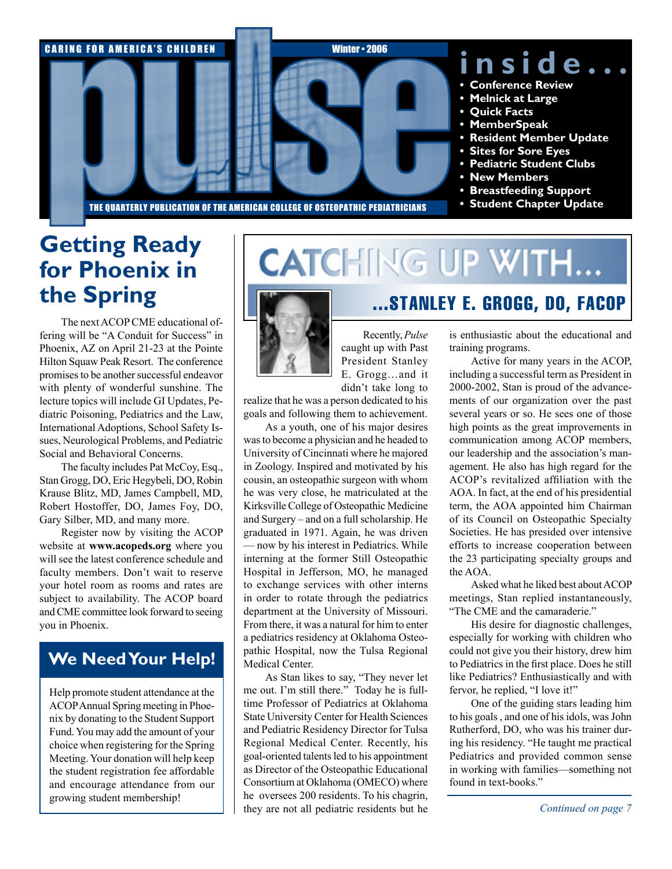

## **Save the Date for Phoenix in Getting Ready the Spring**

The next ACOP CME educational offering will be "A Conduit for Success" in Phoenix, AZ on April 21-23 at the Pointe Hilton Squaw Peak Resort. The conference promises to be another successful endeavor with plenty of wonderful sunshine. The lecture topics will include GI Updates, Pediatric Poisoning, Pediatrics and the Law, International Adoptions, School Safety Issues, Neurological Problems, and Pediatric Social and Behavioral Concerns.

The faculty includes Pat McCoy, Esq., Stan Grogg, DO, Eric Hegybeli, DO, Robin Krause Blitz, MD, James Campbell, MD, Robert Hostoffer, DO, James Foy, DO, Gary Silber, MD, and many more.

Register now by visiting the ACOP website at **www.acopeds.org** where you will see the latest conference schedule and faculty members. Don't wait to reserve your hotel room as rooms and rates are subject to availability. The ACOP board and CME committee look forward to seeing you in Phoenix.

## **We NeedYour Help!**

Help promote student attendance at the ACOP Annual Spring meeting in Phoenix by donating to the Student Support Fund. You may add the amount of your choice when registering for the Spring Meeting. Your donation will help keep the student registration fee affordable and encourage attendance from our growing student membership!

# **CATCHING UP WITH...**



Recently, *Pulse* caught up with Past President Stanley E. Grogg…and it didn't take long to

realize that he was a person dedicated to his goals and following them to achievement.

As a youth, one of his major desires was to become a physician and he headed to University of Cincinnati where he majored in Zoology. Inspired and motivated by his cousin, an osteopathic surgeon with whom he was very close, he matriculated at the Kirksville College of Osteopathic Medicine and Surgery – and on a full scholarship. He graduated in 1971. Again, he was driven — now by his interest in Pediatrics. While interning at the former Still Osteopathic Hospital in Jefferson, MO, he managed to exchange services with other interns in order to rotate through the pediatrics department at the University of Missouri. From there, it was a natural for him to enter a pediatrics residency at Oklahoma Osteopathic Hospital, now the Tulsa Regional Medical Center.

As Stan likes to say, "They never let me out. I'm still there." Today he is fulltime Professor of Pediatrics at Oklahoma State University Center for Health Sciences and Pediatric Residency Director for Tulsa Regional Medical Center. Recently, his goal-oriented talents led to his appointment as Director of the Osteopathic Educational Consortium at Oklahoma (OMECO) where he oversees 200 residents. To his chagrin, they are not all pediatric residents but he

#### is enthusiastic about the educational and training programs.

...STANLEY E. GROGG, DO, FACOP

Active for many years in the ACOP, including a successful term as President in 2000-2002, Stan is proud of the advancements of our organization over the past several years or so. He sees one of those high points as the great improvements in communication among ACOP members, our leadership and the association's management. He also has high regard for the ACOP's revitalized affiliation with the AOA. In fact, at the end of his presidential term, the AOA appointed him Chairman of its Council on Osteopathic Specialty Societies. He has presided over intensive efforts to increase cooperation between the 23 participating specialty groups and the AOA.

Asked what he liked best about ACOP meetings, Stan replied instantaneously, "The CME and the camaraderie."

His desire for diagnostic challenges, especially for working with children who could not give you their history, drew him to Pediatrics in the first place. Does he still like Pediatrics? Enthusiastically and with fervor, he replied, "I love it!"

One of the guiding stars leading him to his goals , and one of his idols, was John Rutherford, DO, who was his trainer during his residency. "He taught me practical Pediatrics and provided common sense in working with families—something not found in text-books."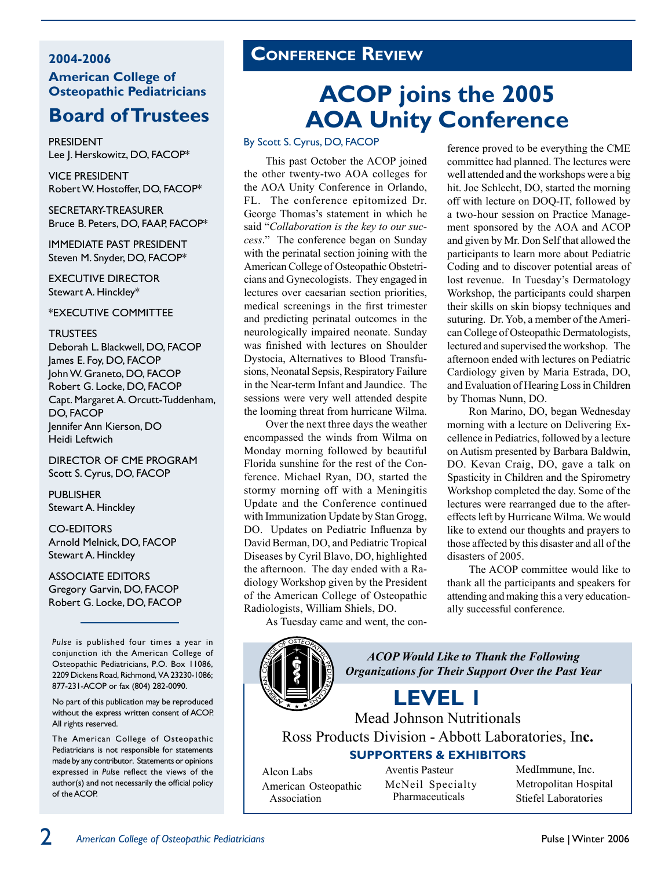#### **2004-2006 American College of Osteopathic Pediatricians**

## **Board ofTrustees**

**PRESIDENT** Lee J. Herskowitz, DO, FACOP\*

Vice President Robert W. Hostoffer, DO, FACOP\*

Secretary-Treasurer Bruce B. Peters, DO, FAAP, FACOP\*

Immediate Past President Steven M. Snyder, DO, FACOP\*

Executive Director Stewart A. Hinckley\*

\*EXECUTIVE COMMITTEE

#### **TRUSTEES**

Deborah L. Blackwell, DO, FACOP James E. Foy, DO, FACOP John W. Graneto, DO, FACOP Robert G. Locke, DO, FACOP Capt. Margaret A. Orcutt-Tuddenham, DO, FACOP Jennifer Ann Kierson, DO Heidi Leftwich

Director of CME Program Scott S. Cyrus, DO, FACOP

PUBLISHER Stewart A. Hinckley

## Co-Editors

Arnold Melnick, DO, FACOP Stewart A. Hinckley

ASSOCIATE EDITORS Gregory Garvin, DO, FACOP Robert G. Locke, DO, FACOP

*Pulse* is published four times a year in conjunction ith the American College of Osteopathic Pediatricians, P.O. Box 11086, 2209 Dickens Road, Richmond, VA 23230-1086; 877-231-ACOP or fax (804) 282-0090.

No part of this publication may be reproduced without the express written consent of ACOP. All rights reserved.

The American College of Osteopathic Pediatricians is not responsible for statements made by any contributor. Statements or opinions expressed in *Puls*e reflect the views of the author(s) and not necessarily the official policy of the ACOP.

## **Conference Review**

# **ACOP joins the 2005 AOA Unity Conference**

#### By Scott S. Cyrus, DO, FACOP

This past October the ACOP joined the other twenty-two AOA colleges for the AOA Unity Conference in Orlando, FL. The conference epitomized Dr. George Thomas's statement in which he said "*Collaboration is the key to our success*." The conference began on Sunday with the perinatal section joining with the American College of Osteopathic Obstetricians and Gynecologists. They engaged in lectures over caesarian section priorities, medical screenings in the first trimester and predicting perinatal outcomes in the neurologically impaired neonate. Sunday was finished with lectures on Shoulder Dystocia, Alternatives to Blood Transfusions, Neonatal Sepsis, Respiratory Failure in the Near-term Infant and Jaundice. The sessions were very well attended despite the looming threat from hurricane Wilma.

Over the next three days the weather encompassed the winds from Wilma on Monday morning followed by beautiful Florida sunshine for the rest of the Conference. Michael Ryan, DO, started the stormy morning off with a Meningitis Update and the Conference continued with Immunization Update by Stan Grogg, DO. Updates on Pediatric Influenza by David Berman, DO, and Pediatric Tropical Diseases by Cyril Blavo, DO, highlighted the afternoon. The day ended with a Radiology Workshop given by the President of the American College of Osteopathic Radiologists, William Shiels, DO.

As Tuesday came and went, the con-



ference proved to be everything the CME committee had planned. The lectures were well attended and the workshops were a big hit. Joe Schlecht, DO, started the morning off with lecture on DOQ-IT, followed by a two-hour session on Practice Management sponsored by the AOA and ACOP and given by Mr. Don Self that allowed the participants to learn more about Pediatric Coding and to discover potential areas of lost revenue. In Tuesday's Dermatology Workshop, the participants could sharpen their skills on skin biopsy techniques and suturing. Dr. Yob, a member of the American College of Osteopathic Dermatologists, lectured and supervised the workshop. The afternoon ended with lectures on Pediatric Cardiology given by Maria Estrada, DO, and Evaluation of Hearing Loss in Children by Thomas Nunn, DO.

Ron Marino, DO, began Wednesday morning with a lecture on Delivering Excellence in Pediatrics, followed by a lecture on Autism presented by Barbara Baldwin, DO. Kevan Craig, DO, gave a talk on Spasticity in Children and the Spirometry Workshop completed the day. Some of the lectures were rearranged due to the aftereffects left by Hurricane Wilma. We would like to extend our thoughts and prayers to those affected by this disaster and all of the disasters of 2005.

The ACOP committee would like to thank all the participants and speakers for attending and making this a very educationally successful conference.

*ACOP Would Like to Thank the Following Organizations for Their Support Over the Past Year*

## **Level 1**

Mead Johnson Nutritionals Ross Products Division - Abbott Laboratories, In**c.**

#### **Supporters & Exhibitors**

Alcon Labs American Osteopathic Association

Aventis Pasteur McNeil Specialty Pharmaceuticals

MedImmune, Inc. Metropolitan Hospital Stiefel Laboratories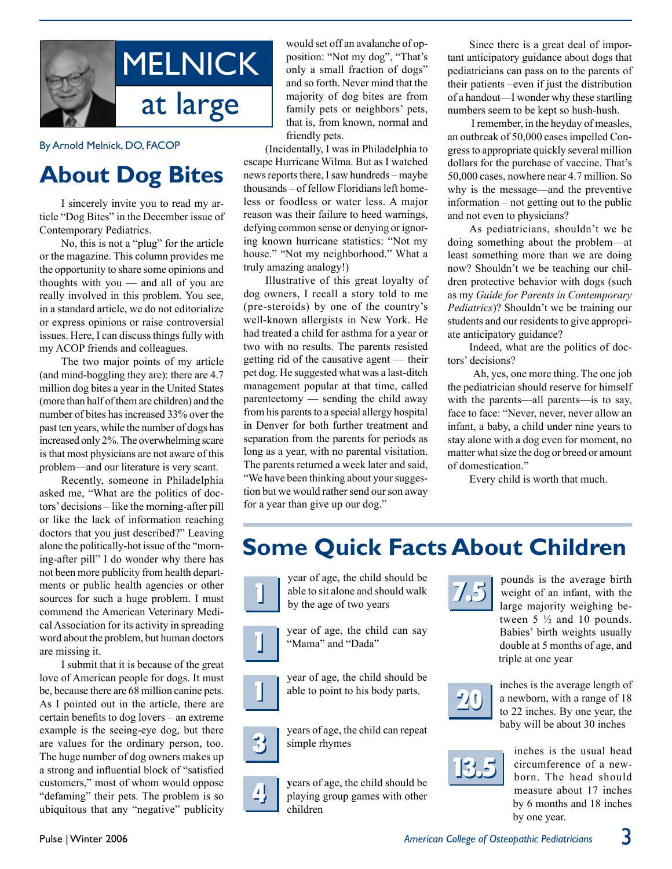

By Arnold Melnick, DO, FACOP

# **About Dog Bites**

I sincerely invite you to read my article "Dog Bites" in the December issue of Contemporary Pediatrics.

No, this is not a "plug" for the article or the magazine. This column provides me the opportunity to share some opinions and thoughts with you — and all of you are really involved in this problem. You see, in a standard article, we do not editorialize or express opinions or raise controversial issues. Here, I can discuss things fully with my ACOP friends and colleagues.

The two major points of my article (and mind-boggling they are): there are 4.7 million dog bites a year in the United States (more than half of them are children) and the number of bites has increased 33% over the past ten years, while the number of dogs has increased only 2%. The overwhelming scare is that most physicians are not aware of this problem—and our literature is very scant.

Recently, someone in Philadelphia asked me, "What are the politics of doctors' decisions – like the morning-after pill or like the lack of information reaching doctors that you just described?" Leaving alone the politically-hot issue of the "morning-after pill" I do wonder why there has not been more publicity from health departments or public health agencies or other sources for such a huge problem. I must commend the American Veterinary Medical Association for its activity in spreading word about the problem, but human doctors are missing it.

I submit that it is because of the great love of American people for dogs. It must be, because there are 68 million canine pets. As I pointed out in the article, there are certain benefits to dog lovers – an extreme example is the seeing-eye dog, but there are values for the ordinary person, too. The huge number of dog owners makes up a strong and influential block of "satisfied customers," most of whom would oppose "defaming" their pets. The problem is so ubiquitous that any "negative" publicity

would set off an avalanche of opposition: "Not my dog", "That's only a small fraction of dogs" and so forth. Never mind that the majority of dog bites are from family pets or neighbors' pets, that is, from known, normal and friendly pets.

(Incidentally, I was in Philadelphia to escape Hurricane Wilma. But as I watched news reports there, I saw hundreds – maybe thousands – of fellow Floridians left homeless or foodless or water less. A major reason was their failure to heed warnings, defying common sense or denying or ignoring known hurricane statistics: "Not my house." "Not my neighborhood." What a truly amazing analogy!)

Illustrative of this great loyalty of dog owners, I recall a story told to me (pre-steroids) by one of the country's well-known allergists in New York. He had treated a child for asthma for a year or two with no results. The parents resisted getting rid of the causative agent — their pet dog. He suggested what was a last-ditch management popular at that time, called parentectomy — sending the child away from his parents to a special allergy hospital in Denver for both further treatment and separation from the parents for periods as long as a year, with no parental visitation. The parents returned a week later and said, "We have been thinking about your suggestion but we would rather send our son away for a year than give up our dog."

Since there is a great deal of important anticipatory guidance about dogs that pediatricians can pass on to the parents of their patients –even if just the distribution of a handout—I wonder why these startling numbers seem to be kept so hush-hush.

 I remember, in the heyday of measles, an outbreak of 50,000 cases impelled Congress to appropriate quickly several million dollars for the purchase of vaccine. That's 50,000 cases, nowhere near 4.7 million. So why is the message—and the preventive information – not getting out to the public and not even to physicians?

As pediatricians, shouldn't we be doing something about the problem—at least something more than we are doing now? Shouldn't we be teaching our children protective behavior with dogs (such as my *Guide for Parents in Contemporary Pediatrics*)? Shouldn't we be training our students and our residents to give appropriate anticipatory guidance?

Indeed, what are the politics of doctors' decisions?

 Ah, yes, one more thing. The one job the pediatrician should reserve for himself with the parents—all parents—is to say, face to face: "Never, never, never allow an infant, a baby, a child under nine years to stay alone with a dog even for moment, no matter what size the dog or breed or amount of domestication."

Every child is worth that much.

# **Some Quick Facts About Children**



year of age, the child should be able to sit alone and should walk by the age of two years



**1**

**3**

**4**

year of age, the child can say "Mama" and "Dada"

year of age, the child should be able to point to his body parts.



**y**ears of age, the child should be playing group games with other children



pounds is the average birth weight of an infant, with the large majority weighing between  $5\frac{1}{2}$  and 10 pounds. Babies' birth weights usually double at 5 months of age, and triple at one year



inches is the average length of a newborn, with a range of 18 to 22 inches. By one year, the baby will be about 30 inches



inches is the usual head circumference of a newborn. The head should measure about 17 inches by 6 months and 18 inches by one year.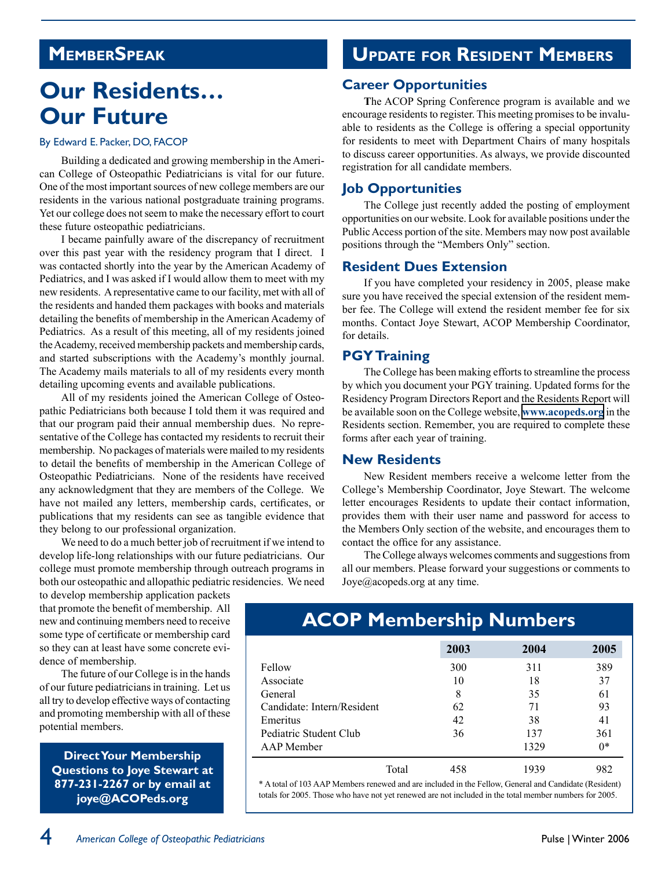## **MemberSpeak**

## **Our Residents… Our Future**

#### By Edward E. Packer, DO, FACOP

Building a dedicated and growing membership in the American College of Osteopathic Pediatricians is vital for our future. One of the most important sources of new college members are our residents in the various national postgraduate training programs. Yet our college does not seem to make the necessary effort to court these future osteopathic pediatricians.

I became painfully aware of the discrepancy of recruitment over this past year with the residency program that I direct. I was contacted shortly into the year by the American Academy of Pediatrics, and I was asked if I would allow them to meet with my new residents. A representative came to our facility, met with all of the residents and handed them packages with books and materials detailing the benefits of membership in the American Academy of Pediatrics. As a result of this meeting, all of my residents joined the Academy, received membership packets and membership cards, and started subscriptions with the Academy's monthly journal. The Academy mails materials to all of my residents every month detailing upcoming events and available publications.

All of my residents joined the American College of Osteopathic Pediatricians both because I told them it was required and that our program paid their annual membership dues. No representative of the College has contacted my residents to recruit their membership. No packages of materials were mailed to my residents to detail the benefits of membership in the American College of Osteopathic Pediatricians. None of the residents have received any acknowledgment that they are members of the College. We have not mailed any letters, membership cards, certificates, or publications that my residents can see as tangible evidence that they belong to our professional organization.

We need to do a much better job of recruitment if we intend to develop life-long relationships with our future pediatricians. Our college must promote membership through outreach programs in both our osteopathic and allopathic pediatric residencies. We need

to develop membership application packets that promote the benefit of membership. All new and continuing members need to receive some type of certificate or membership card so they can at least have some concrete evidence of membership.

The future of our College is in the hands of our future pediatricians in training. Let us all try to develop effective ways of contacting and promoting membership with all of these potential members.

**DirectYour Membership Questions to Joye Stewart at 877-231-2267 or by email at joye@ACOPeds.org**

## **Update for Resident Members**

#### **Career Opportunities**

**T**he ACOP Spring Conference program is available and we encourage residents to register. This meeting promises to be invaluable to residents as the College is offering a special opportunity for residents to meet with Department Chairs of many hospitals to discuss career opportunities. As always, we provide discounted registration for all candidate members.

#### **Job Opportunities**

The College just recently added the posting of employment opportunities on our website. Look for available positions under the Public Access portion of the site. Members may now post available positions through the "Members Only" section.

#### **Resident Dues Extension**

If you have completed your residency in 2005, please make sure you have received the special extension of the resident member fee. The College will extend the resident member fee for six months. Contact Joye Stewart, ACOP Membership Coordinator, for details.

#### **PGYTraining**

The College has been making efforts to streamline the process by which you document your PGY training. Updated forms for the Residency Program Directors Report and the Residents Report will be available soon on the College website, **[www.acopeds.org](http://www.acopeds.org)** in the Residents section. Remember, you are required to complete these forms after each year of training.

#### **New Residents**

New Resident members receive a welcome letter from the College's Membership Coordinator, Joye Stewart. The welcome letter encourages Residents to update their contact information, provides them with their user name and password for access to the Members Only section of the website, and encourages them to contact the office for any assistance.

The College always welcomes comments and suggestions from all our members. Please forward your suggestions or comments to Joye@acopeds.org at any time.

## **ACOP Membership Numbers**

|                            | 2003 | 2004 | 2005 |
|----------------------------|------|------|------|
| Fellow                     | 300  | 311  | 389  |
| Associate                  | 10   | 18   | 37   |
| General                    | 8    | 35   | 61   |
| Candidate: Intern/Resident | 62   | 71   | 93   |
| Emeritus                   | 42   | 38   | 41   |
| Pediatric Student Club     | 36   | 137  | 361  |
| AAP Member                 |      | 1329 | $0*$ |
| Total                      | 458  | 1939 | 982  |

\* A total of 103 AAP Members renewed and are included in the Fellow, General and Candidate (Resident) totals for 2005. Those who have not yet renewed are not included in the total member numbers for 2005.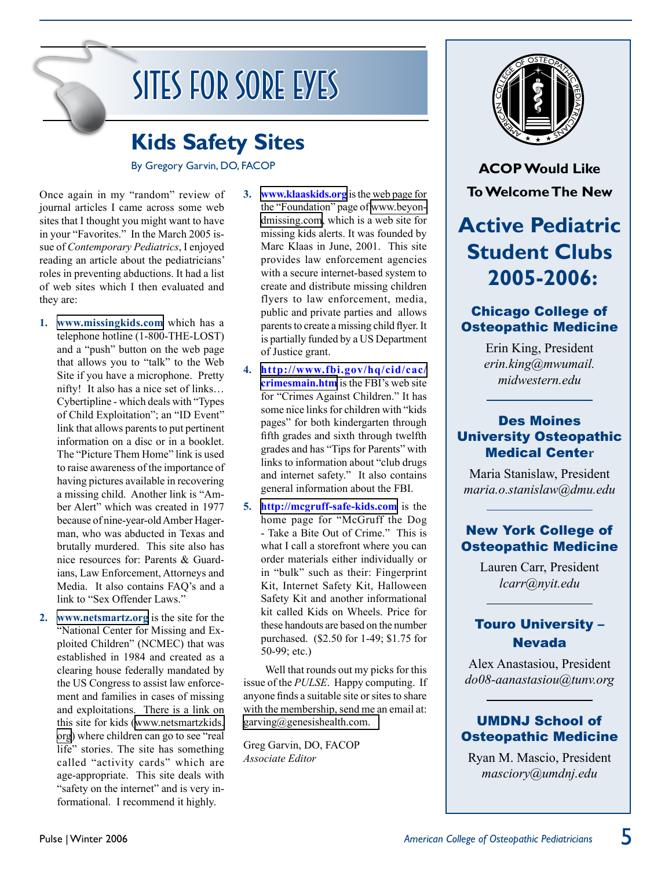# Sites for Sore Eyes

# **Kids Safety Sites**

By Gregory Garvin, DO, FACOP

Once again in my "random" review of journal articles I came across some web sites that I thought you might want to have in your "Favorites." In the March 2005 issue of *Contemporary Pediatrics*, I enjoyed reading an article about the pediatricians' roles in preventing abductions. It had a list of web sites which I then evaluated and they are:

- **1. [www.missingkids.com](http://www.missingkids.com)** which has a telephone hotline (1-800-THE-LOST) and a "push" button on the web page that allows you to "talk" to the Web Site if you have a microphone. Pretty nifty! It also has a nice set of links… Cybertipline - which deals with "Types of Child Exploitation"; an "ID Event" link that allows parents to put pertinent information on a disc or in a booklet. The "Picture Them Home" link is used to raise awareness of the importance of having pictures available in recovering a missing child. Another link is "Amber Alert" which was created in 1977 because of nine-year-old Amber Hagerman, who was abducted in Texas and brutally murdered. This site also has nice resources for: Parents & Guardians, Law Enforcement, Attorneys and Media. It also contains FAQ's and a link to "Sex Offender Laws."
- **2. [www.netsmartz.org](http://www.netsmartz.org)** is the site for the "National Center for Missing and Exploited Children" (NCMEC) that was established in 1984 and created as a clearing house federally mandated by the US Congress to assist law enforcement and families in cases of missing and exploitations. There is a link on this site for kids ([www.netsmartzkids.](http://www.netsmartzkids.org) [org](http://www.netsmartzkids.org)) where children can go to see "real life" stories. The site has something called "activity cards" which are age-appropriate. This site deals with "safety on the internet" and is very informational. I recommend it highly.
- **3. [www.klaaskids.org](http://www.klaaskids.org)** is the web page for the "Foundation" page of [www.beyon](http://www.beyondmissing.com)[dmissing.com,](http://www.beyondmissing.com) which is a web site for missing kids alerts. It was founded by Marc Klaas in June, 2001. This site provides law enforcement agencies with a secure internet-based system to create and distribute missing children flyers to law enforcement, media, public and private parties and allows parents to create a missing child flyer. It is partially funded by a US Department of Justice grant.
- **4. [http://www.fbi.gov/hq/cid/cac/](http://www.fbi.gov/hq/cid/cac/crimesmain.htm) [crimesmain.htm](http://www.fbi.gov/hq/cid/cac/crimesmain.htm)** is the FBI's web site for "Crimes Against Children." It has some nice links for children with "kids pages" for both kindergarten through fifth grades and sixth through twelfth grades and has "Tips for Parents" with links to information about "club drugs and internet safety." It also contains general information about the FBI.
- **5. <http://mcgruff-safe-kids.com>** is the home page for "McGruff the Dog - Take a Bite Out of Crime." This is what I call a storefront where you can order materials either individually or in "bulk" such as their: Fingerprint Kit, Internet Safety Kit, Halloween Safety Kit and another informational kit called Kids on Wheels. Price for these handouts are based on the number purchased. (\$2.50 for 1-49; \$1.75 for 50-99; etc.)

Well that rounds out my picks for this issue of the *PULSE*. Happy computing. If anyone finds a suitable site or sites to share with the membership, send me an email at: garving@genesishealth.com.

Greg Garvin, DO, FACOP *Associate Editor*



**ACOPWould Like ToWelcomeThe New**

# **Active Pediatric Student Clubs 2005-2006:**

## Chicago College of Osteopathic Medicine

Erin King, President *erin.king@mwumail. midwestern.edu*

## Des Moines University Osteopathic Medical Cente**r**

Maria Stanislaw, President *maria.o.stanislaw@dmu.edu*

## New York College of Osteopathic Medicine

Lauren Carr, President *lcarr@nyit.edu*

## Touro University – Nevada

Alex Anastasiou, President *do08-aanastasiou@tunv.org*

## UMDNJ School of Osteopathic Medicine

Ryan M. Mascio, President *masciory@umdnj.edu*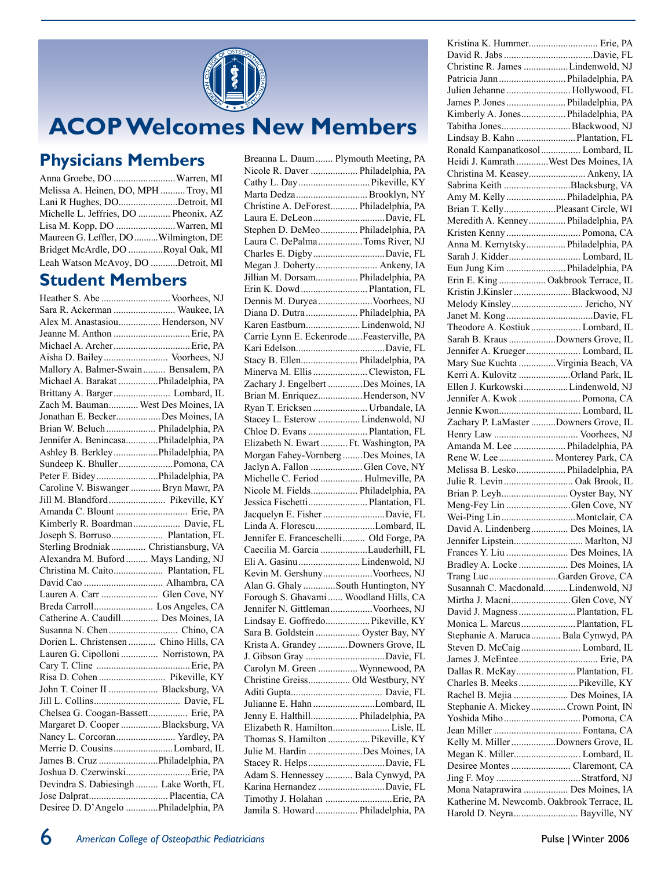

# **ACOPWelcomes New Members**

## **Physicians Members**

| Anna Groebe, DO  Warren, MI           |  |
|---------------------------------------|--|
| Melissa A. Heinen, DO, MPH Troy, MI   |  |
| Lani R Hughes, DODetroit, MI          |  |
| Michelle L. Jeffries, DO  Pheonix, AZ |  |
| Lisa M. Kopp, DO  Warren, MI          |  |
| Maureen G. Leffler, DO Wilmington, DE |  |
| Bridget McArdle, DO Royal Oak, MI     |  |
| Leah Watson McAvoy, DO Detroit, MI    |  |

## **Student Members**

| Heather S. Abe  Voorhees, NJ           |  |
|----------------------------------------|--|
| Sara R. Ackerman  Waukee, IA           |  |
| Alex M. Anastasiou Henderson, NV       |  |
| Jeanne M. Anthon  Erie, PA             |  |
| Michael A. Archer Erie, PA             |  |
| Aisha D. Bailey Voorhees, NJ           |  |
| Mallory A. Balmer-Swain  Bensalem, PA  |  |
| Michael A. Barakat Philadelphia, PA    |  |
|                                        |  |
| Zach M. Bauman West Des Moines, IA     |  |
| Jonathan E. BeckerDes Moines, IA       |  |
| Brian W. Beluch  Philadelphia, PA      |  |
| Jennifer A. BenincasaPhiladelphia, PA  |  |
| Ashley B. BerkleyPhiladelphia, PA      |  |
| Sundeep K. BhullerPomona, CA           |  |
| Peter F. BideyPhiladelphia, PA         |  |
| Caroline V. Biswanger  Bryn Mawr, PA   |  |
|                                        |  |
| Amanda C. Blount  Erie, PA             |  |
| Kimberly R. Boardman Davie, FL         |  |
| Joseph S. Borruso Plantation, FL       |  |
| Sterling Brodniak  Christiansburg, VA  |  |
|                                        |  |
| Alexandra M. Buford  Mays Landing, NJ  |  |
| Christina M. Caito Plantation, FL      |  |
|                                        |  |
| Lauren A. Carr  Glen Cove, NY          |  |
|                                        |  |
| Catherine A. Caudill Des Moines, IA    |  |
|                                        |  |
| Dorien L. Christensen  Chino Hills, CA |  |
| Lauren G. Cipolloni  Norristown, PA    |  |
|                                        |  |
|                                        |  |
| John T. Coiner II  Blacksburg, VA      |  |
|                                        |  |
| Chelsea G. Coogan-Bassett Erie, PA     |  |
| Margaret D. Cooper  Blacksburg, VA     |  |
| Nancy L. Corcoran Yardley, PA          |  |
|                                        |  |
| Merrie D. CousinsLombard, IL           |  |
| Joshua D. Czerwinski Erie, PA          |  |
| Devindra S. Dabiesingh  Lake Worth, FL |  |
| Desiree D. D'Angelo Philadelphia, PA   |  |

| Breanna L. Daum  Plymouth Meeting, PA    |  |
|------------------------------------------|--|
| Nicole R. Daver  Philadelphia, PA        |  |
| Cathy L. Day  Pikeville, KY              |  |
| Marta Dedza Brooklyn, NY                 |  |
| Christine A. DeForest Philadelphia, PA   |  |
| Laura E. DeLeonDavie, FL                 |  |
| Stephen D. DeMeo Philadelphia, PA        |  |
| Laura C. DePalmaToms River, NJ           |  |
| Charles E. DigbyDavie, FL                |  |
| Megan J. Doherty Ankeny, IA              |  |
| Jillian M. Dorsam Philadelphia, PA       |  |
| Erin K. Dowd Plantation, FL              |  |
| Dennis M. DuryeaVoorhees, NJ             |  |
| Diana D. Dutra  Philadelphia, PA         |  |
| Karen EastburnLindenwold, NJ             |  |
| Carrie Lynn E. EckenrodeFeasterville, PA |  |
|                                          |  |
| Stacy B. Ellen Philadelphia, PA          |  |
| Minerva M. Ellis  Clewiston, FL          |  |
| Zachary J. Engelbert Des Moines, IA      |  |
| Brian M. EnriquezHenderson, NV           |  |
| Ryan T. Ericksen  Urbandale, IA          |  |
| Stacey L. Esterow  Lindenwold, NJ        |  |
| Chloe D. Evans  Plantation, FL           |  |
| Elizabeth N. Ewart  Ft. Washington, PA   |  |
| Morgan Fahey-Vornberg Des Moines, IA     |  |
| Jaclyn A. Fallon Glen Cove, NY           |  |
| Michelle C. Feriod  Hulmeville, PA       |  |
| Nicole M. Fields Philadelphia, PA        |  |
|                                          |  |
| Jacquelyn E. Fisher Davie, FL            |  |
| Linda A. FlorescuLombard, IL             |  |
| Jennifer E. Franceschelli Old Forge, PA  |  |
| Caecilia M. Garcia Lauderhill, FL        |  |
| Eli A. Gasinu Lindenwold, NJ             |  |
| Kevin M. GershunyVoorhees, NJ            |  |
| Alan G. Ghaly South Huntington, NY       |  |
| Forough S. Ghavami  Woodland Hills, CA   |  |
| Jennifer N. GittlemanVoorhees, NJ        |  |
| Lindsay E. Goffredo Pikeville, KY        |  |
| Sara B. Goldstein  Oyster Bay, NY        |  |
|                                          |  |
| Krista A. Grandey Downers Grove, IL      |  |
|                                          |  |
| Carolyn M. Green  Wynnewood, PA          |  |
| Christine Greiss Old Westbury, NY        |  |
|                                          |  |
| Julianne E. Hahn Lombard, IL             |  |
| Jenny E. Halthill Philadelphia, PA       |  |
| Elizabeth R. Hamilton Lisle, IL          |  |
| Thomas S. Hamilton  Pikeville, KY        |  |
| Julie M. Hardin Des Moines, IA           |  |
| Stacey R. HelpsDavie, FL                 |  |
| Adam S. Hennessey  Bala Cynwyd, PA       |  |
| Karina Hernandez Davie, FL               |  |
| Timothy J. Holahan Erie, PA              |  |
| Jamila S. Howard  Philadelphia, PA       |  |

| Kristina K. Hummer Erie, PA                |                              |
|--------------------------------------------|------------------------------|
|                                            |                              |
| Christine R. James Lindenwold, NJ          |                              |
| Patricia Jann  Philadelphia, PA            |                              |
| Julien Jehanne  Hollywood, FL              |                              |
|                                            |                              |
| Kimberly A. Jones Philadelphia, PA         |                              |
|                                            |                              |
| Lindsay B. Kahn  Plantation, FL            |                              |
| Ronald Kampanatkosol Lombard, IL           |                              |
| Heidi J. Kamrath West Des Moines, IA       |                              |
| Christina M. Keasey Ankeny, IA             |                              |
| Sabrina Keith Blacksburg, VA               |                              |
| Amy M. Kelly  Philadelphia, PA             |                              |
| Brian T. KellyPleasant Circle, WI          |                              |
| Meredith A. Kenney Philadelphia, PA        |                              |
| Kristen Kenny  Pomona, CA                  |                              |
| Anna M. Kernytsky Philadelphia, PA         |                              |
|                                            |                              |
| Eun Jung Kim  Philadelphia, PA             |                              |
| Erin E. King  Oakbrook Terrace, IL         |                              |
| Kristin J.Kinsler Blackwood, NJ            |                              |
| Melody Kinsley Jericho, NY                 |                              |
|                                            |                              |
| Theodore A. Kostiuk Lombard, IL            |                              |
| Sarah B. Kraus Downers Grove, IL           |                              |
| Jennifer A. Krueger Lombard, IL            |                              |
| Mary Sue Kuchta Virginia Beach, VA         |                              |
| Kerri A. Kulovitz Orland Park, IL          |                              |
| Ellen J. KurkowskiLindenwold, NJ           |                              |
| Jennifer A. Kwok  Pomona, CA               |                              |
|                                            |                              |
| Zachary P. LaMaster Downers Grove, IL      |                              |
|                                            |                              |
|                                            |                              |
| Amanda M. Lee  Philadelphia, PA            |                              |
| Rene W. Lee  Monterey Park, CA             |                              |
| Melissa B. Lesko Philadelphia, PA          |                              |
| Julie R. Levin  Oak Brook, IL              |                              |
| Brian P. Leyh Oyster Bay, NY               |                              |
| Meng-Fey Lin Glen Cove, NY                 |                              |
|                                            |                              |
| David A. Lindenberg Des Moines, IA         |                              |
| Jennifer Lipstein Marlton, NJ              |                              |
| Frances Y. Liu  Des Moines, IA             |                              |
| Bradley A. Locke  Des Moines, IA           |                              |
| Trang LucGarden Grove, CA                  |                              |
| Susannah C. MacdonaldLindenwold, NJ        |                              |
| Mirtha J. MacniGlen Cove, NY               |                              |
| David J. Magness  Plantation, FL           |                              |
| Monica L. Marcus  Plantation, FL           |                              |
| Stephanie A. Maruca Bala Cynwyd, PA        |                              |
| Steven D. McCaig Lombard, IL               |                              |
|                                            |                              |
| Dallas R. McKay Plantation, FL             |                              |
| Charles B. Meeks Pikeville, KY             |                              |
| Rachel B. Mejia  Des Moines, IA            |                              |
| Stephanie A. Mickey Crown Point, IN        |                              |
| Yoshida Miho Pomona, CA                    |                              |
|                                            |                              |
| Kelly M. Miller Downers Grove, IL          |                              |
| Megan K. Miller Lombard, IL                |                              |
|                                            |                              |
|                                            |                              |
| Mona Nataprawira  Des Moines, IA           |                              |
| Katherine M. Newcomb. Oakbrook Terrace, IL |                              |
|                                            | Harold D. Neyra Bayville, NY |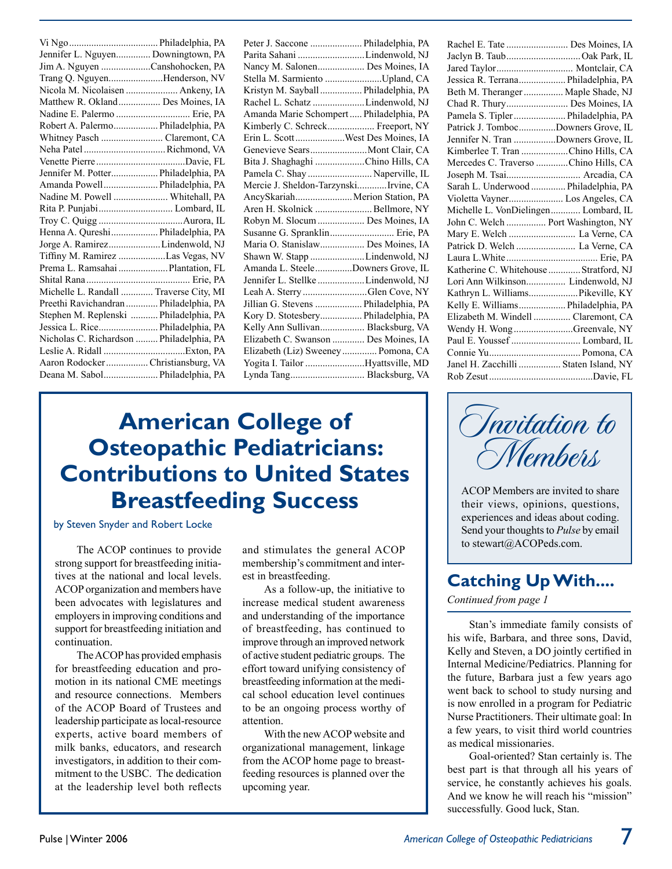| Jennifer L. Nguyen Downingtown, PA       |  |
|------------------------------------------|--|
| Jim A. Nguyen Canshohocken, PA           |  |
| Trang Q. NguyenHenderson, NV             |  |
| Nicola M. Nicolaisen  Ankeny, IA         |  |
| Matthew R. Okland Des Moines, IA         |  |
| Nadine E. Palermo  Erie, PA              |  |
| Robert A. Palermo Philadelphia, PA       |  |
|                                          |  |
|                                          |  |
|                                          |  |
| Jennifer M. Potter Philadelphia, PA      |  |
| Amanda Powell Philadelphia, PA           |  |
| Nadine M. Powell  Whitehall, PA          |  |
|                                          |  |
|                                          |  |
| Henna A. Qureshi Philadelphia, PA        |  |
| Jorge A. RamirezLindenwold, NJ           |  |
| Tiffiny M. Ramirez Las Vegas, NV         |  |
| Prema L. Ramsahai  Plantation, FL        |  |
|                                          |  |
| Michelle L. Randall  Traverse City, MI   |  |
| Preethi Ravichandran  Philadelphia, PA   |  |
| Stephen M. Replenski  Philadelphia, PA   |  |
| Jessica L. Rice Philadelphia, PA         |  |
| Nicholas C. Richardson  Philadelphia, PA |  |
|                                          |  |
| Aaron Rodocker Christiansburg, VA        |  |
|                                          |  |

Peter J. Saccone ..................... Philadelphia, PA Parita Sahani ...........................Lindenwold, NJ Nancy M. Salonen................... Des Moines, IA Stella M. Sarmiento .......................Upland, CA Kristyn M. Sayball................. Philadelphia, PA Rachel L. Schatz .....................Lindenwold, NJ Amanda Marie Schompert ..... Philadelphia, PA Kimberly C. Schreck................... Freeport, NY Erin L. Scott....................West Des Moines, IA Genevieve Sears.......................Mont Clair, CA Bita J. Shaghaghi ....................Chino Hills, CA Pamela C. Shay .......................... Naperville, IL Mercie J. Sheldon-Tarzynski............Irvine, CA AncySkariah.......................Merion Station, PA Aren H. Skolnick .......................Bellmore, NY Robyn M. Slocum................... Des Moines, IA Susanne G. Spranklin.......................... Erie, PA Maria O. Stanislaw.................. Des Moines, IA Shawn W. Stapp ......................Lindenwold, NJ Amanda L. Steele...............Downers Grove, IL Jennifer L. Stellke ...................Lindenwold, NJ Leah A. Sterry ..........................Glen Cove, NY Jillian G. Stevens ................... Philadelphia, PA Kory D. Stotesbery................. Philadelphia, PA Kelly Ann Sullivan.................. Blacksburg, VA Elizabeth C. Swanson ............. Des Moines, IA Elizabeth (Liz) Sweeney.............. Pomona, CA Yogita I. Tailor ........................Hyattsville, MD Lynda Tang.............................. Blacksburg, VA

# **American College of Osteopathic Pediatricians: Contributions to United States Breastfeeding Success**

by Steven Snyder and Robert Locke

The ACOP continues to provide strong support for breastfeeding initiatives at the national and local levels. ACOP organization and members have been advocates with legislatures and employers in improving conditions and support for breastfeeding initiation and continuation.

The ACOP has provided emphasis for breastfeeding education and promotion in its national CME meetings and resource connections. Members of the ACOP Board of Trustees and leadership participate as local-resource experts, active board members of milk banks, educators, and research investigators, in addition to their commitment to the USBC. The dedication at the leadership level both reflects

and stimulates the general ACOP membership's commitment and interest in breastfeeding.

As a follow-up, the initiative to increase medical student awareness and understanding of the importance of breastfeeding, has continued to improve through an improved network of active student pediatric groups. The effort toward unifying consistency of breastfeeding information at the medical school education level continues to be an ongoing process worthy of attention.

With the new ACOP website and organizational management, linkage from the ACOP home page to breastfeeding resources is planned over the upcoming year.

| Jessica R. Terrana Philadelphia, PA    |  |
|----------------------------------------|--|
| Beth M. Theranger  Maple Shade, NJ     |  |
| Chad R. Thury Des Moines, IA           |  |
| Pamela S. Tipler Philadelphia, PA      |  |
| Patrick J. TombocDowners Grove, IL     |  |
| Jennifer N. Tran Downers Grove, IL     |  |
| Kimberlee T. Tran Chino Hills, CA      |  |
| Mercedes C. Traverso Chino Hills, CA   |  |
| Joseph M. Tsai Arcadia, CA             |  |
| Sarah L. Underwood  Philadelphia, PA   |  |
| Violetta Vayner Los Angeles, CA        |  |
| Michelle L. VonDielingen Lombard, IL   |  |
| John C. Welch  Port Washington, NY     |  |
| Mary E. Welch  La Verne, CA            |  |
| Patrick D. Welch  La Verne, CA         |  |
|                                        |  |
| Katherine C. Whitehouse  Stratford, NJ |  |
| Lori Ann Wilkinson Lindenwold, NJ      |  |
| Kathryn L. Williams Pikeville, KY      |  |
| Kelly E. Williams Philadelphia, PA     |  |
| Elizabeth M. Windell  Claremont, CA    |  |
| Wendy H. Wong Greenvale, NY            |  |
| Paul E. Youssef  Lombard, IL           |  |
|                                        |  |
| Janel H. Zacchilli  Staten Island, NY  |  |
|                                        |  |

Invitation to Members

ACOP Members are invited to share their views, opinions, questions, experiences and ideas about coding. Send your thoughts to *Pulse* by email to stewart@ACOPeds.com.

## **Catching UpWith....**

*Continued from page 1*

Stan's immediate family consists of his wife, Barbara, and three sons, David, Kelly and Steven, a DO jointly certified in Internal Medicine/Pediatrics. Planning for the future, Barbara just a few years ago went back to school to study nursing and is now enrolled in a program for Pediatric Nurse Practitioners. Their ultimate goal: In a few years, to visit third world countries as medical missionaries.

Goal-oriented? Stan certainly is. The best part is that through all his years of service, he constantly achieves his goals. And we know he will reach his "mission" successfully. Good luck, Stan.

7